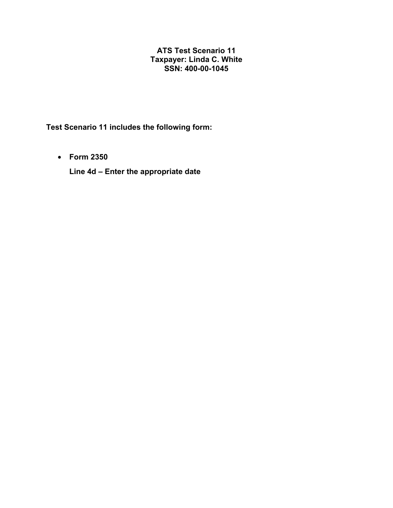## **ATS Test Scenario 11 Taxpayer: Linda C. White SSN: 400-00-1045**

**Test Scenario 11 includes the following form:** 

• **Form 2350**

**Line 4d – Enter the appropriate date**